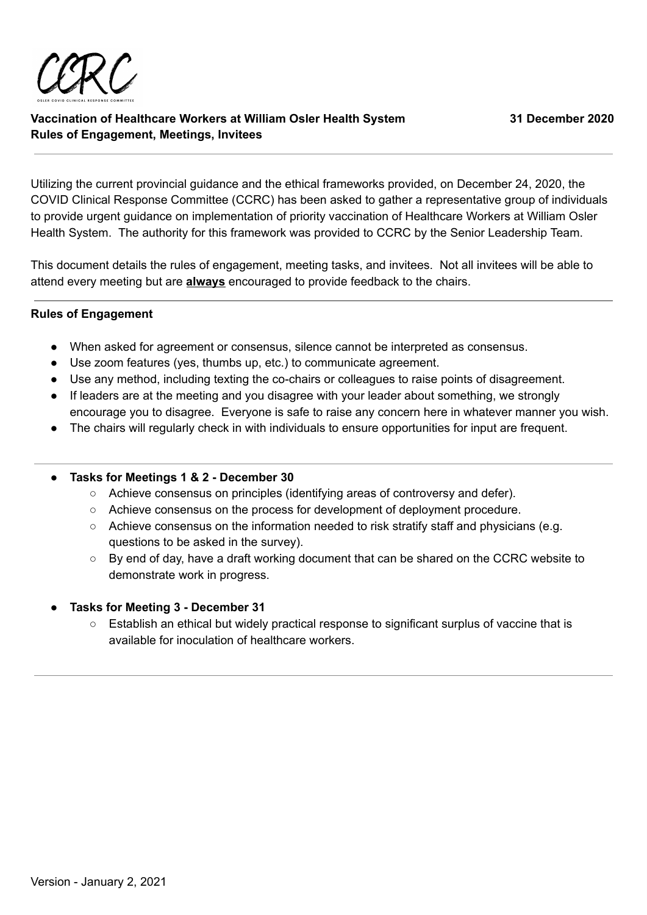

Utilizing the current provincial guidance and the ethical frameworks provided, on December 24, 2020, the COVID Clinical Response Committee (CCRC) has been asked to gather a representative group of individuals to provide urgent guidance on implementation of priority vaccination of Healthcare Workers at William Osler Health System. The authority for this framework was provided to CCRC by the Senior Leadership Team.

This document details the rules of engagement, meeting tasks, and invitees. Not all invitees will be able to attend every meeting but are **always** encouraged to provide feedback to the chairs.

# **Rules of Engagement**

- When asked for agreement or consensus, silence cannot be interpreted as consensus.
- Use zoom features (yes, thumbs up, etc.) to communicate agreement.
- Use any method, including texting the co-chairs or colleagues to raise points of disagreement.
- If leaders are at the meeting and you disagree with your leader about something, we strongly encourage you to disagree. Everyone is safe to raise any concern here in whatever manner you wish.
- The chairs will regularly check in with individuals to ensure opportunities for input are frequent.

# **● Tasks for Meetings 1 & 2 - December 30**

- Achieve consensus on principles (identifying areas of controversy and defer).
- Achieve consensus on the process for development of deployment procedure.
- Achieve consensus on the information needed to risk stratify staff and physicians (e.g. questions to be asked in the survey).
- By end of day, have a draft working document that can be shared on the CCRC website to demonstrate work in progress.

# **● Tasks for Meeting 3 - December 31**

○ Establish an ethical but widely practical response to significant surplus of vaccine that is available for inoculation of healthcare workers.